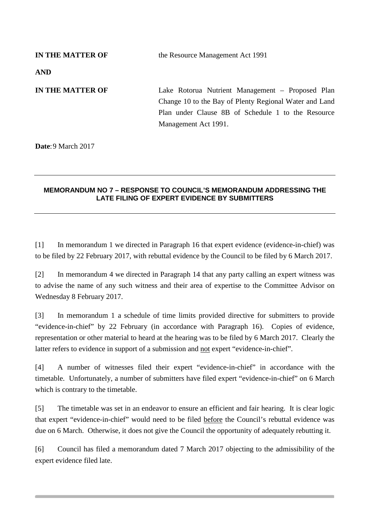| <b>IN THE MATTER OF</b> | the Resource Management Act 1991                                                                                                                                 |
|-------------------------|------------------------------------------------------------------------------------------------------------------------------------------------------------------|
| <b>AND</b>              |                                                                                                                                                                  |
| <b>IN THE MATTER OF</b> | Lake Rotorua Nutrient Management – Proposed Plan<br>Change 10 to the Bay of Plenty Regional Water and Land<br>Plan under Clause 8B of Schedule 1 to the Resource |
|                         | Management Act 1991.                                                                                                                                             |

**Date**: 9 March 2017

## **MEMORANDUM NO 7 – RESPONSE TO COUNCIL'S MEMORANDUM ADDRESSING THE LATE FILING OF EXPERT EVIDENCE BY SUBMITTERS**

[1] In memorandum 1 we directed in Paragraph 16 that expert evidence (evidence-in-chief) was to be filed by 22 February 2017, with rebuttal evidence by the Council to be filed by 6 March 2017.

[2] In memorandum 4 we directed in Paragraph 14 that any party calling an expert witness was to advise the name of any such witness and their area of expertise to the Committee Advisor on Wednesday 8 February 2017.

[3] In memorandum 1 a schedule of time limits provided directive for submitters to provide "evidence-in-chief" by 22 February (in accordance with Paragraph 16). Copies of evidence, representation or other material to heard at the hearing was to be filed by 6 March 2017. Clearly the latter refers to evidence in support of a submission and not expert "evidence-in-chief".

[4] A number of witnesses filed their expert "evidence-in-chief" in accordance with the timetable. Unfortunately, a number of submitters have filed expert "evidence-in-chief" on 6 March which is contrary to the timetable.

[5] The timetable was set in an endeavor to ensure an efficient and fair hearing. It is clear logic that expert "evidence-in-chief" would need to be filed before the Council's rebuttal evidence was due on 6 March. Otherwise, it does not give the Council the opportunity of adequately rebutting it.

[6] Council has filed a memorandum dated 7 March 2017 objecting to the admissibility of the expert evidence filed late.